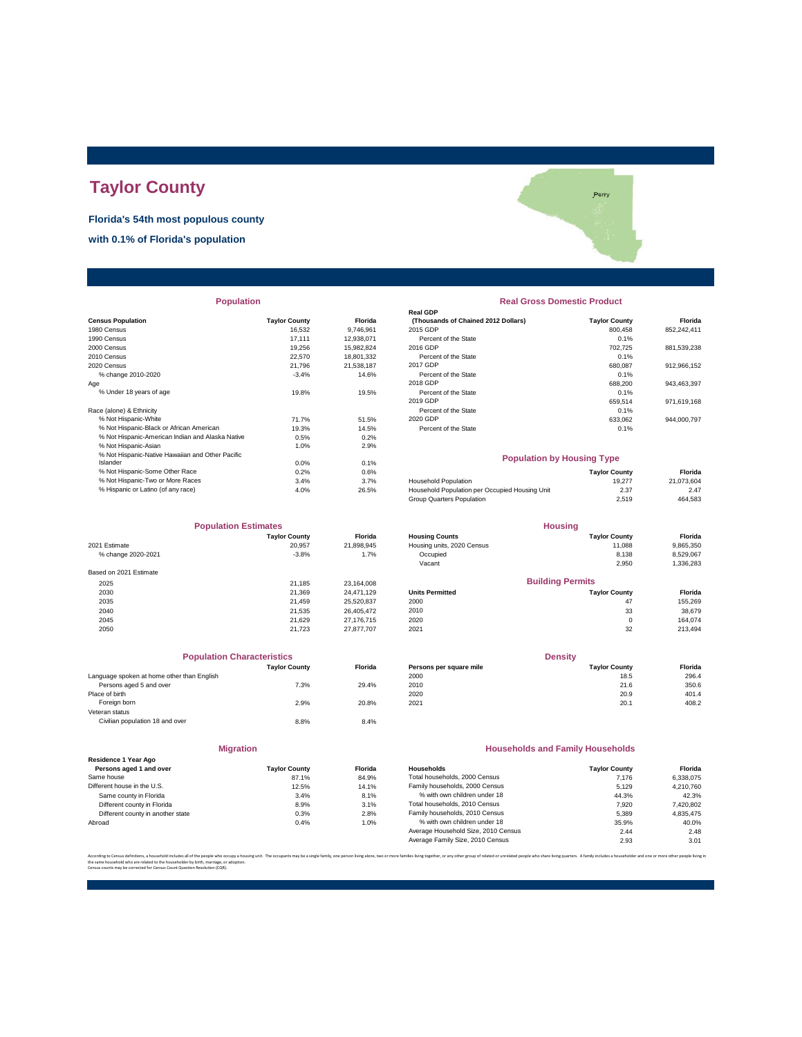# **Taylor County**

**Florida's 54th most populous county**

**with 0.1% of Florida's population**



| <b>Population</b> |  |  |
|-------------------|--|--|
|                   |  |  |

|                                                  |                      |            | Redi ODF                                       |                      |             |
|--------------------------------------------------|----------------------|------------|------------------------------------------------|----------------------|-------------|
| <b>Census Population</b>                         | <b>Taylor County</b> | Florida    | (Thousands of Chained 2012 Dollars)            | <b>Taylor County</b> | Florida     |
| 1980 Census                                      | 16,532               | 9,746,961  | 2015 GDP                                       | 800,458              | 852,242,411 |
| 1990 Census                                      | 17.111               | 12,938,071 | Percent of the State                           | 0.1%                 |             |
| 2000 Census                                      | 19.256               | 15,982,824 | 2016 GDP                                       | 702,725              | 881,539,238 |
| 2010 Census                                      | 22,570               | 18,801,332 | Percent of the State                           | 0.1%                 |             |
| 2020 Census                                      | 21.796               | 21.538.187 | 2017 GDP                                       | 680,087              | 912,966,152 |
| % change 2010-2020                               | $-3.4%$              | 14.6%      | Percent of the State                           | 0.1%                 |             |
| Age                                              |                      |            | 2018 GDP                                       | 688,200              | 943,463,397 |
| % Under 18 years of age                          | 19.8%                | 19.5%      | Percent of the State                           | 0.1%                 |             |
|                                                  |                      |            | 2019 GDP                                       | 659,514              | 971,619,168 |
| Race (alone) & Ethnicity                         |                      |            | Percent of the State                           | 0.1%                 |             |
| % Not Hispanic-White                             | 71.7%                | 51.5%      | 2020 GDP                                       | 633,062              | 944,000,797 |
| % Not Hispanic-Black or African American         | 19.3%                | 14.5%      | Percent of the State                           | 0.1%                 |             |
| % Not Hispanic-American Indian and Alaska Native | 0.5%                 | 0.2%       |                                                |                      |             |
| % Not Hispanic-Asian                             | 1.0%                 | 2.9%       |                                                |                      |             |
| % Not Hispanic-Native Hawaiian and Other Pacific |                      |            | <b>Population by Housing Type</b>              |                      |             |
| Islander                                         | 0.0%                 | 0.1%       |                                                |                      |             |
| % Not Hispanic-Some Other Race                   | 0.2%                 | 0.6%       |                                                | <b>Taylor County</b> | Florida     |
| % Not Hispanic-Two or More Races                 | 3.4%                 | 3.7%       | <b>Household Population</b>                    | 19.277               | 21,073,604  |
| % Hispanic or Latino (of any race)               | 4.0%                 | 26.5%      | Household Population per Occupied Housing Unit | 2.37                 | 2.47        |
|                                                  |                      |            |                                                |                      |             |

| <b>Population Estimates</b> |                      |                | <b>Housing</b>             |                         |           |
|-----------------------------|----------------------|----------------|----------------------------|-------------------------|-----------|
|                             | <b>Taylor County</b> | <b>Florida</b> | <b>Housing Counts</b>      | <b>Taylor County</b>    | Florida   |
| 2021 Estimate               | 20,957               | 21,898,945     | Housing units, 2020 Census | 11,088                  | 9,865,350 |
| % change 2020-2021          | $-3.8%$              | 1.7%           | Occupied                   | 8,138                   | 8,529,067 |
|                             |                      |                | Vacant                     | 2,950                   | 1,336,283 |
| Based on 2021 Estimate      |                      |                |                            |                         |           |
| 2025                        | 21.185               | 23.164.008     |                            | <b>Building Permits</b> |           |
| 2030                        | 21.369               | 24.471.129     | <b>Units Permitted</b>     | <b>Taylor County</b>    | Florida   |
| 2035                        | 21.459               | 25,520,837     | 2000                       | 47                      | 155,269   |
| 2040                        | 21.535               | 26.405.472     | 2010                       | 33                      | 38,679    |
| 2045                        | 21.629               | 27.176.715     | 2020                       | $\mathbf 0$             | 164.074   |
| 2050                        | 21.723               | 27.877.707     | 2021                       | 32                      | 213,494   |

| <b>Population Characteristics</b>          |                      |                |
|--------------------------------------------|----------------------|----------------|
|                                            | <b>Taylor County</b> | <b>Florida</b> |
| Language spoken at home other than English |                      |                |
| Persons aged 5 and over                    | 7.3%                 | 29.4%          |
| Place of birth                             |                      |                |
| Foreign born                               | 2.9%                 | 20.8%          |
| Veteran status                             |                      |                |
| Civilian population 18 and over            | 8.8%                 | 8.4%           |
|                                            |                      |                |
|                                            |                      |                |

| Residence 1 Year Ago              |                      |        |
|-----------------------------------|----------------------|--------|
| Persons aged 1 and over           | <b>Taylor County</b> | Florid |
| Same house                        | 87.1%                | 84.9   |
| Different house in the U.S.       | 12.5%                | 14.1   |
| Same county in Florida            | 3.4%                 | 8.1    |
| Different county in Florida       | 8.9%                 | 3.1    |
| Different county in another state | 0.3%                 | 2.8    |
| Abroad                            | 0.4%                 | 1.0    |

**Migration**

| opulation |                      |                | <b>Real Gross Domestic Product</b>  |                      |             |  |  |
|-----------|----------------------|----------------|-------------------------------------|----------------------|-------------|--|--|
|           |                      |                | <b>Real GDP</b>                     |                      |             |  |  |
|           | <b>Taylor County</b> | <b>Florida</b> | (Thousands of Chained 2012 Dollars) | <b>Taylor County</b> | Florida     |  |  |
|           | 16.532               | 9.746.961      | 2015 GDP                            | 800.458              | 852,242,411 |  |  |
|           | 17.111               | 12.938.071     | Percent of the State                | 0.1%                 |             |  |  |
|           | 19.256               | 15.982.824     | 2016 GDP                            | 702.725              | 881,539,238 |  |  |
|           | 22,570               | 18.801.332     | Percent of the State                | 0.1%                 |             |  |  |
|           | 21.796               | 21.538.187     | 2017 GDP                            | 680.087              | 912.966.152 |  |  |
|           | $-3.4%$              | 14.6%          | Percent of the State                | 0.1%                 |             |  |  |
|           |                      |                | 2018 GDP                            | 688,200              | 943,463,397 |  |  |
|           | 19.8%                | 19.5%          | Percent of the State                | 0.1%                 |             |  |  |
|           |                      |                | 2019 GDP                            | 659.514              | 971.619.168 |  |  |
|           |                      |                | Percent of the State                | 0.1%                 |             |  |  |
|           | 71.7%                | 51.5%          | 2020 GDP                            | 633.062              | 944.000.797 |  |  |
|           | 19.3%                | 14.5%          | Percent of the State                | 0.1%                 |             |  |  |
|           |                      |                |                                     |                      |             |  |  |

### **Population by Housing Type**

| % Not Hispanic-Some Other Race     | $0.2\%$ | 0.6%  |                                                | <b>Tavlor County</b> | Florida    |
|------------------------------------|---------|-------|------------------------------------------------|----------------------|------------|
| % Not Hispanic-Two or More Races   | 3.4%    | 3.7%  | <b>Household Population</b>                    | 19,277               | 21.073.604 |
| % Hispanic or Latino (of any race) | 4.0%    | 26.5% | Household Population per Occupied Housing Unit | 2.37                 | 2.47       |
|                                    |         |       | Group Quarters Population                      | 2.519                | 464,583    |
|                                    |         |       |                                                |                      |            |

| <b>Population Estimates</b> |                      |                | <b>Housing</b>             |                         |           |
|-----------------------------|----------------------|----------------|----------------------------|-------------------------|-----------|
|                             | <b>Taylor County</b> | <b>Florida</b> | <b>Housing Counts</b>      | <b>Taylor County</b>    | Florida   |
| 2021 Estimate               | 20,957               | 21.898.945     | Housing units, 2020 Census | 11.088                  | 9,865,350 |
| % change 2020-2021          | $-3.8%$              | 1.7%           | Occupied                   | 8.138                   | 8.529.067 |
|                             |                      |                | Vacant                     | 2.950                   | 1,336,283 |
| Based on 2021 Estimate      |                      |                |                            |                         |           |
| 2025                        | 21.185               | 23.164.008     |                            | <b>Building Permits</b> |           |
| 2030                        | 21.369               | 24.471.129     | <b>Units Permitted</b>     | <b>Tavlor County</b>    | Florida   |
| 2035                        | 21.459               | 25.520.837     | 2000                       | 47                      | 155.269   |
| 2040                        | 21.535               | 26.405.472     | 2010                       | 33                      | 38,679    |
| 2045                        | 21.629               | 27 176 715     | 2020                       | $\Omega$                | 164.074   |

| <b>Population Characteristics</b> |                |                         | <b>Density</b>       |         |  |
|-----------------------------------|----------------|-------------------------|----------------------|---------|--|
| <b>Tavlor County</b>              | <b>Florida</b> | Persons per square mile | <b>Tavlor County</b> | Florida |  |
|                                   |                | 2000                    | 18.5                 | 296.4   |  |
| 7.3%                              | 29.4%          | 2010                    | 21.6                 | 350.6   |  |
|                                   |                | 2020                    | 20.9                 | 401.4   |  |
| 2.9%                              | 20.8%          | 2021                    | 20.1                 | 408.2   |  |
|                                   |                |                         |                      |         |  |

### **Households and Family Households**

| Residence 1 Year Ago              |                      |                |                                     |                      |           |
|-----------------------------------|----------------------|----------------|-------------------------------------|----------------------|-----------|
| Persons aged 1 and over           | <b>Tavlor County</b> | <b>Florida</b> | Households                          | <b>Tavlor County</b> | Florida   |
| Same house                        | 87.1%                | 84.9%          | Total households, 2000 Census       | 7.176                | 6.338.075 |
| Different house in the U.S.       | 12.5%                | 14.1%          | Family households, 2000 Census      | 5.129                | 4.210.760 |
| Same county in Florida            | 3.4%                 | 8.1%           | % with own children under 18        | 44.3%                | 42.3%     |
| Different county in Florida       | 8.9%                 | 3.1%           | Total households, 2010 Census       | 7.920                | 7,420,802 |
| Different county in another state | 0.3%                 | 2.8%           | Family households, 2010 Census      | 5.389                | 4.835.475 |
| Abroad                            | 0.4%                 | 1.0%           | % with own children under 18        | 35.9%                | 40.0%     |
|                                   |                      |                | Average Household Size, 2010 Census | 2.44                 | 2.48      |
|                                   |                      |                | Average Family Size, 2010 Census    | 2.93                 | 3.01      |
|                                   |                      |                |                                     |                      |           |

.<br>ilies living together, or any other group of related or unrelated people who share living quarters. A family includes a householder and one or more other pe the same household who are related to the householder by birth, marriage, or adoption. Census counts may be corrected for Census Count Question Resolution (CQR).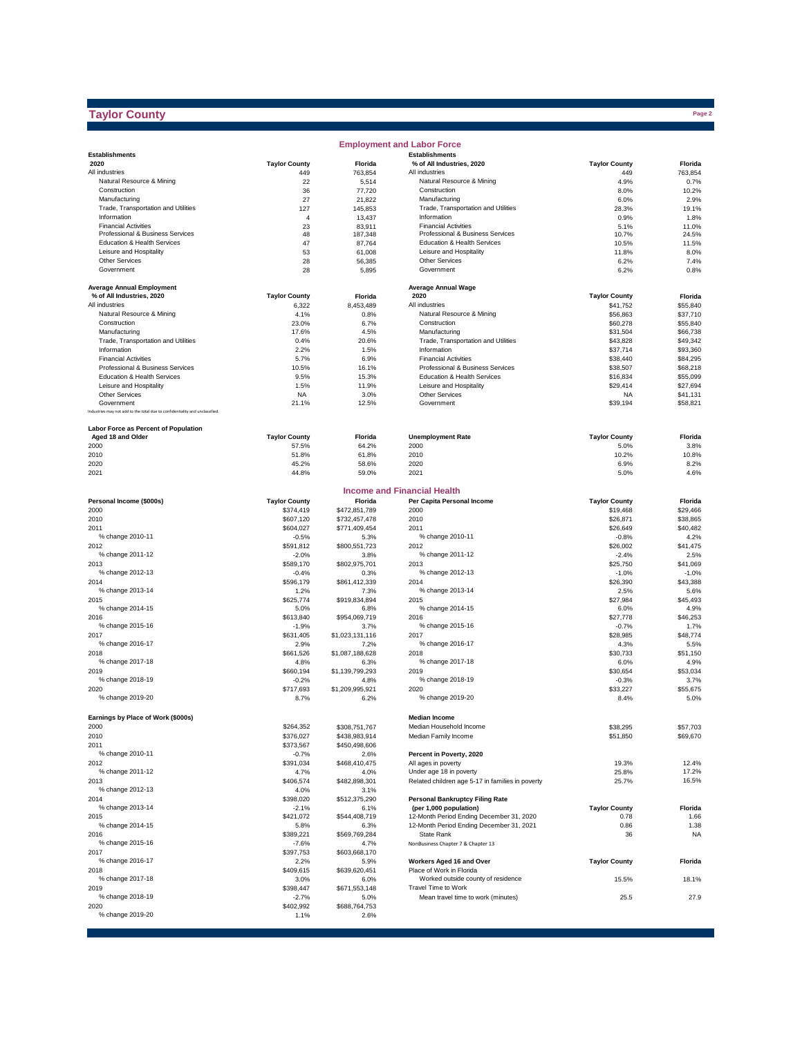## **Taylor County**

|                                                                              |                      |                       | <b>Employment and Labor Force</b>                  |                      |               |
|------------------------------------------------------------------------------|----------------------|-----------------------|----------------------------------------------------|----------------------|---------------|
| <b>Establishments</b>                                                        |                      |                       | <b>Establishments</b>                              |                      |               |
| 2020                                                                         | <b>Taylor County</b> | Florida               | % of All Industries, 2020                          | <b>Taylor County</b> | Florida       |
| All industries                                                               | 449                  | 763,854               | All industries                                     | 449                  | 763,854       |
| Natural Resource & Mining                                                    | 22                   | 5,514                 | Natural Resource & Mining                          | 4.9%                 | 0.7%          |
| Construction                                                                 | 36                   | 77,720                | Construction                                       | 8.0%                 | 10.2%         |
| Manufacturing                                                                | 27                   | 21,822                | Manufacturing                                      | 6.0%                 | 2.9%          |
| Trade, Transportation and Utilities<br>Information                           | 127                  | 145,853               | Trade, Transportation and Utilities<br>Information | 28.3%<br>0.9%        | 19.1%         |
| <b>Financial Activities</b>                                                  | 4<br>23              | 13,437<br>83,911      | <b>Financial Activities</b>                        |                      | 1.8%<br>11.0% |
| Professional & Business Services                                             | 48                   | 187,348               | Professional & Business Services                   | 5.1%<br>10.7%        | 24.5%         |
| Education & Health Services                                                  | 47                   | 87,764                | Education & Health Services                        | 10.5%                | 11.5%         |
| Leisure and Hospitality                                                      | 53                   | 61,008                | Leisure and Hospitality                            | 11.8%                | 8.0%          |
| <b>Other Services</b>                                                        | 28                   | 56,385                | <b>Other Services</b>                              | 6.2%                 | 7.4%          |
| Government                                                                   | 28                   | 5,895                 | Government                                         | 6.2%                 | 0.8%          |
|                                                                              |                      |                       |                                                    |                      |               |
| <b>Average Annual Employment</b>                                             |                      |                       | <b>Average Annual Wage</b>                         |                      |               |
| % of All Industries, 2020                                                    | <b>Taylor County</b> | Florida               | 2020                                               | <b>Taylor County</b> | Florida       |
| All industries                                                               | 6,322                | 8,453,489             | All industries                                     | \$41,752             | \$55,840      |
| Natural Resource & Mining                                                    | 4.1%                 | 0.8%                  | Natural Resource & Mining                          | \$56,863             | \$37,710      |
| Construction                                                                 | 23.0%                | 6.7%                  | Construction                                       | \$60,278             | \$55,840      |
| Manufacturing                                                                | 17.6%                | 4.5%                  | Manufacturing                                      | \$31,504             | \$66,738      |
| Trade, Transportation and Utilities                                          | 0.4%                 | 20.6%                 | Trade, Transportation and Utilities                | \$43,828             | \$49,342      |
| Information                                                                  | 2.2%                 | 1.5%                  | Information                                        | \$37,714             | \$93,360      |
| <b>Financial Activities</b>                                                  | 5.7%                 | 6.9%                  | <b>Financial Activities</b>                        | \$38,440             | \$84,295      |
| Professional & Business Services                                             | 10.5%                | 16.1%                 | Professional & Business Services                   | \$38,507             | \$68,218      |
| Education & Health Services                                                  | 9.5%                 | 15.3%                 | Education & Health Services                        | \$16,834             | \$55,099      |
| Leisure and Hospitality                                                      | 1.5%                 | 11.9%                 | Leisure and Hospitality                            | \$29,414             | \$27,694      |
| <b>Other Services</b>                                                        | <b>NA</b>            | 3.0%                  | Other Services                                     | <b>NA</b>            | \$41,131      |
| Government                                                                   | 21.1%                | 12.5%                 | Government                                         | \$39,194             | \$58,821      |
| Industries may not add to the total due to confidentiality and unclassified. |                      |                       |                                                    |                      |               |
| Labor Force as Percent of Population                                         |                      |                       |                                                    |                      |               |
| Aged 18 and Older                                                            | <b>Taylor County</b> | Florida               | <b>Unemployment Rate</b>                           | <b>Taylor County</b> | Florida       |
| 2000                                                                         | 57.5%                | 64.2%                 | 2000                                               | 5.0%                 | 3.8%          |
| 2010                                                                         | 51.8%                | 61.8%                 | 2010                                               | 10.2%                | 10.8%         |
| 2020                                                                         | 45.2%                | 58.6%                 | 2020                                               | 6.9%                 | 8.2%          |
| 2021                                                                         | 44.8%                | 59.0%                 | 2021                                               | 5.0%                 | 4.6%          |
|                                                                              |                      |                       |                                                    |                      |               |
|                                                                              |                      |                       | <b>Income and Financial Health</b>                 |                      |               |
| Personal Income (\$000s)                                                     | <b>Taylor County</b> | Florida               | Per Capita Personal Income                         | <b>Taylor County</b> | Florida       |
| 2000                                                                         | \$374,419            | \$472,851,789         | 2000                                               | \$19,468             | \$29,466      |
| 2010                                                                         | \$607,120            | \$732,457,478         | 2010                                               | \$26,871             | \$38,865      |
| 2011                                                                         | \$604,027            | \$771,409,454         | 2011                                               | \$26,649             | \$40,482      |
| % change 2010-11                                                             | $-0.5%$              | 5.3%                  | % change 2010-11                                   | $-0.8%$              | 4.2%          |
| 2012                                                                         | \$591,812            | \$800,551,723         | 2012                                               | \$26,002             | \$41,475      |
| % change 2011-12                                                             | $-2.0%$              | 3.8%                  | % change 2011-12                                   | $-2.4%$              | 2.5%          |
| 2013                                                                         | \$589,170            | \$802,975,701         | 2013                                               | \$25,750             | \$41,069      |
| % change 2012-13                                                             | $-0.4%$              | 0.3%                  | % change 2012-13                                   | $-1.0%$              | $-1.0%$       |
| 2014                                                                         | \$596,179            | \$861,412,339         | 2014                                               | \$26,390             | \$43,388      |
| % change 2013-14                                                             | 1.2%                 | 7.3%                  | % change 2013-14                                   | 2.5%                 | 5.6%          |
| 2015                                                                         | \$625,774            | \$919,834,894         | 2015                                               | \$27,984             | \$45,493      |
| % change 2014-15                                                             | 5.0%                 | 6.8%                  | % change 2014-15                                   | 6.0%                 | 4.9%          |
| 2016                                                                         | \$613,840            | \$954,069,719         | 2016                                               | \$27,778             | \$46,253      |
| % change 2015-16                                                             | $-1.9%$              | 3.7%                  | % change 2015-16                                   | $-0.7%$              | 1.7%          |
| 2017                                                                         | \$631,405            | \$1,023,131,116       | 2017                                               | \$28,985             | \$48,774      |
| % change 2016-17                                                             | 2.9%                 | 7.2%                  | % change 2016-17                                   | 4.3%                 | 5.5%          |
| 2018                                                                         | \$661,526            | \$1,087,188,628       | 2018                                               | \$30,733             | \$51.150      |
| % change 2017-18                                                             | 4.8%                 | 6.3%                  | % change 2017-18                                   | 6.0%                 | 4.9%          |
| 2019                                                                         | \$660.194            | \$1,139,799,293       | 2019                                               | \$30,654             | \$53,034      |
| % change 2018-19                                                             | $-0.2%$              | 4.8%                  | % change 2018-19                                   | $-0.3%$              | 3.7%          |
| 2020                                                                         | \$717,693            | \$1,209,995,921       | 2020                                               | \$33,227             | \$55,675      |
| % change 2019-20                                                             | 8.7%                 | 6.2%                  | % change 2019-20                                   | 8.4%                 | 5.0%          |
|                                                                              |                      |                       |                                                    |                      |               |
| Earnings by Place of Work (\$000s)                                           |                      |                       | <b>Median Income</b>                               |                      |               |
| 2000                                                                         | \$264,352            | \$308,751,767         | Median Household Income                            | \$38,295             | \$57,703      |
| 2010                                                                         | \$376,027            | \$438,983,914         | Median Family Income                               | \$51,850             | \$69,670      |
| 2011                                                                         | \$373,567            | \$450,498,606         |                                                    |                      |               |
| % change 2010-11                                                             | $-0.7%$              | 2.6%                  | Percent in Poverty, 2020                           |                      |               |
| 2012                                                                         | \$391,034            | \$468,410,475         | All ages in poverty                                | 19.3%                | 12.4%         |
| % change 2011-12                                                             | 4.7%                 | 4.0%                  | Under age 18 in poverty                            | 25.8%                | 17.2%         |
| 2013                                                                         | \$406,574            | \$482,898,301         | Related children age 5-17 in families in poverty   | 25.7%                | 16.5%         |
| % change 2012-13                                                             | 4.0%                 | 3.1%                  |                                                    |                      |               |
| 2014                                                                         | \$398,020            | \$512,375,290         | <b>Personal Bankruptcy Filing Rate</b>             |                      |               |
| % change 2013-14                                                             | $-2.1%$              | 6.1%                  | (per 1,000 population)                             | <b>Taylor County</b> | Florida       |
| 2015<br>% change 2014-15                                                     | \$421,072            | \$544,408,719         | 12-Month Period Ending December 31, 2020           | 0.78                 | 1.66          |
|                                                                              | 5.8%                 | 6.3%                  | 12-Month Period Ending December 31, 2021           | 0.86                 | 1.38          |
| 2016                                                                         | \$389,221            | \$569,769,284         | State Rank<br>NonBusiness Chapter 7 & Chapter 13   | 36                   | <b>NA</b>     |
| % change 2015-16                                                             | $-7.6%$<br>\$397,753 | 4.7%                  |                                                    |                      |               |
| 2017<br>% change 2016-17                                                     |                      | \$603,668,170         | Workers Aged 16 and Over                           | <b>Taylor County</b> |               |
|                                                                              | 2.2%                 | 5.9%                  | Place of Work in Florida                           |                      | Florida       |
| 2018<br>% change 2017-18                                                     | \$409,615<br>3.0%    | \$639,620,451<br>6.0% | Worked outside county of residence                 | 15.5%                | 18.1%         |
| 2019                                                                         |                      |                       | Travel Time to Work                                |                      |               |
| % change 2018-19                                                             | \$398,447<br>$-2.7%$ | \$671,553,148         | Mean travel time to work (minutes)                 | 25.5                 | 27.9          |
| 2020                                                                         | \$402,992            | 5.0%<br>\$688,764,753 |                                                    |                      |               |
| % change 2019-20                                                             | 1.1%                 | 2.6%                  |                                                    |                      |               |
|                                                                              |                      |                       |                                                    |                      |               |